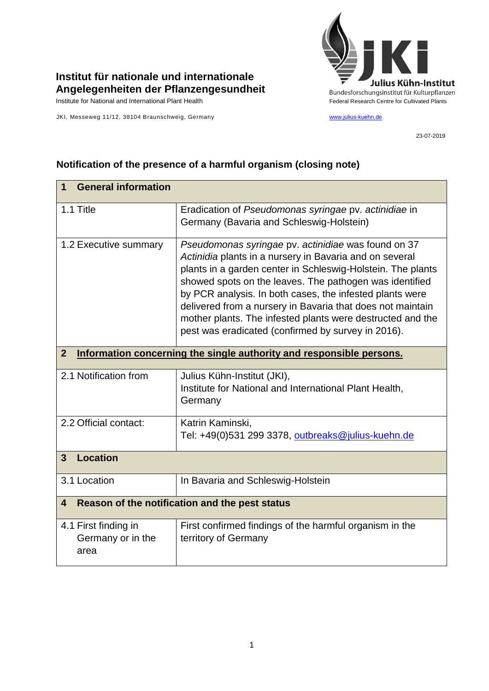

## **Institut für nationale und internationale Angelegenheiten der Pflanzengesundheit**

JKI, Messeweg 11/12, 38104 Braunschweig, Germany [www.julius-kuehn.de](http://www.julius-kuehn.de/)

23-07-2019

## **1 General information** 1.1 Title Eradication of *Pseudomonas syringae* pv. *actinidiae* in Germany (Bavaria and Schleswig-Holstein) 1.2 Executive summary *Pseudomonas syringae* pv. *actinidiae* was found on 37 *Actinidia* plants in a nursery in Bavaria and on several plants in a garden center in Schleswig-Holstein. The plants showed spots on the leaves. The pathogen was identified by PCR analysis. In both cases, the infested plants were delivered from a nursery in Bavaria that does not maintain mother plants. The infested plants were destructed and the pest was eradicated (confirmed by survey in 2016). **2 Information concerning the single authority and responsible persons.** 2.1 Notification from Julius Kühn-Institut (JKI), Institute for National and International Plant Health, **Germany** 2.2 Official contact: Katrin Kaminski, Tel: +49(0)531 299 3378, [outbreaks@julius-kuehn.de](mailto:outbreaks@julius-kuehn.de) **3 Location**  3.1 Location **In Bavaria and Schleswig-Holstein 4 Reason of the notification and the pest status** 4.1 First finding in Germany or in the area First confirmed findings of the harmful organism in the territory of Germany

## **Notification of the presence of a harmful organism (closing note)**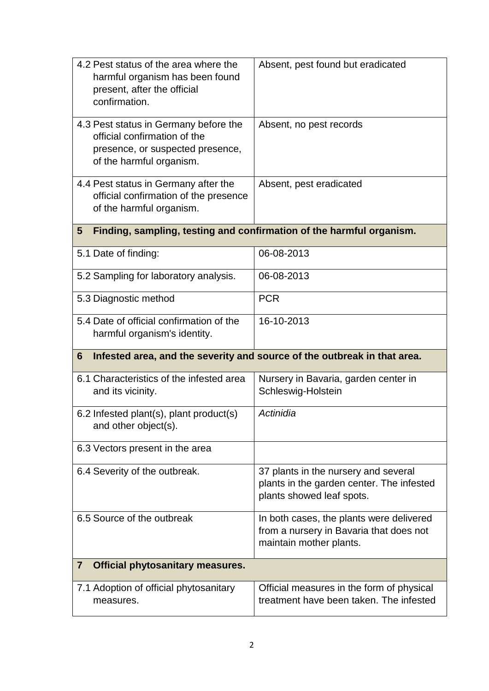| 4.2 Pest status of the area where the<br>harmful organism has been found<br>present, after the official<br>confirmation.              | Absent, pest found but eradicated                                                                              |
|---------------------------------------------------------------------------------------------------------------------------------------|----------------------------------------------------------------------------------------------------------------|
| 4.3 Pest status in Germany before the<br>official confirmation of the<br>presence, or suspected presence,<br>of the harmful organism. | Absent, no pest records                                                                                        |
| 4.4 Pest status in Germany after the<br>official confirmation of the presence<br>of the harmful organism.                             | Absent, pest eradicated                                                                                        |
| Finding, sampling, testing and confirmation of the harmful organism.<br>5                                                             |                                                                                                                |
| 5.1 Date of finding:                                                                                                                  | 06-08-2013                                                                                                     |
| 5.2 Sampling for laboratory analysis.                                                                                                 | 06-08-2013                                                                                                     |
| 5.3 Diagnostic method                                                                                                                 | <b>PCR</b>                                                                                                     |
| 5.4 Date of official confirmation of the<br>harmful organism's identity.                                                              | 16-10-2013                                                                                                     |
| Infested area, and the severity and source of the outbreak in that area.<br>6                                                         |                                                                                                                |
| 6.1 Characteristics of the infested area<br>and its vicinity.                                                                         | Nursery in Bavaria, garden center in<br>Schleswig-Holstein                                                     |
| 6.2 Infested plant(s), plant product(s)<br>and other object(s).                                                                       | Actinidia                                                                                                      |
| 6.3 Vectors present in the area                                                                                                       |                                                                                                                |
| 6.4 Severity of the outbreak.                                                                                                         | 37 plants in the nursery and several<br>plants in the garden center. The infested<br>plants showed leaf spots. |
| 6.5 Source of the outbreak                                                                                                            | In both cases, the plants were delivered<br>from a nursery in Bavaria that does not<br>maintain mother plants. |
| <b>Official phytosanitary measures.</b><br>$\overline{7}$                                                                             |                                                                                                                |
| 7.1 Adoption of official phytosanitary<br>measures.                                                                                   | Official measures in the form of physical<br>treatment have been taken. The infested                           |